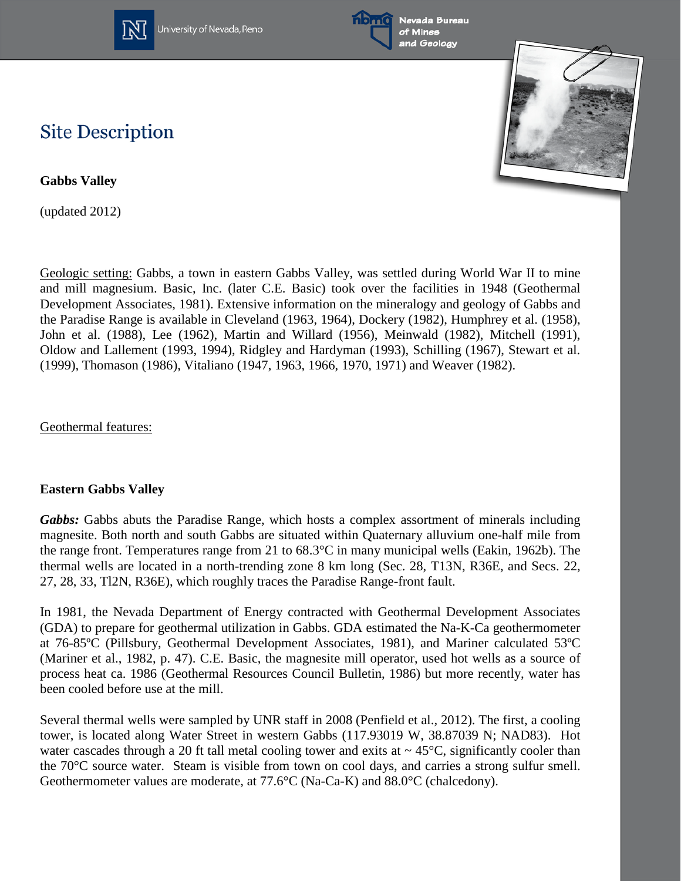



Nevada Bureau and Geology



# **Site Description**

**Gabbs Valley**

(updated 2012)

Geologic setting: Gabbs, a town in eastern Gabbs Valley, was settled during World War II to mine and mill magnesium. Basic, Inc. (later C.E. Basic) took over the facilities in 1948 (Geothermal Development Associates, 1981). Extensive information on the mineralogy and geology of Gabbs and the Paradise Range is available in Cleveland (1963, 1964), Dockery (1982), Humphrey et al. (1958), John et al. (1988), Lee (1962), Martin and Willard (1956), Meinwald (1982), Mitchell (1991), Oldow and Lallement (1993, 1994), Ridgley and Hardyman (1993), Schilling (1967), Stewart et al. (1999), Thomason (1986), Vitaliano (1947, 1963, 1966, 1970, 1971) and Weaver (1982).

Geothermal features:

## **Eastern Gabbs Valley**

Gabbs: Gabbs abuts the Paradise Range, which hosts a complex assortment of minerals including magnesite. Both north and south Gabbs are situated within Quaternary alluvium one-half mile from the range front. Temperatures range from 21 to 68.3°C in many municipal wells (Eakin, 1962b). The thermal wells are located in a north-trending zone 8 km long (Sec. 28, T13N, R36E, and Secs. 22, 27, 28, 33, Tl2N, R36E), which roughly traces the Paradise Range-front fault.

In 1981, the Nevada Department of Energy contracted with Geothermal Development Associates (GDA) to prepare for geothermal utilization in Gabbs. GDA estimated the Na-K-Ca geothermometer at 76-85ºC (Pillsbury, Geothermal Development Associates, 1981), and Mariner calculated 53ºC (Mariner et al., 1982, p. 47). C.E. Basic, the magnesite mill operator, used hot wells as a source of process heat ca. 1986 (Geothermal Resources Council Bulletin, 1986) but more recently, water has been cooled before use at the mill.

Several thermal wells were sampled by UNR staff in 2008 (Penfield et al., 2012). The first, a cooling tower, is located along Water Street in western Gabbs (117.93019 W, 38.87039 N; NAD83). Hot water cascades through a 20 ft tall metal cooling tower and exits at  $\sim 45^{\circ}$ C, significantly cooler than the 70°C source water. Steam is visible from town on cool days, and carries a strong sulfur smell. Geothermometer values are moderate, at 77.6°C (Na-Ca-K) and 88.0°C (chalcedony).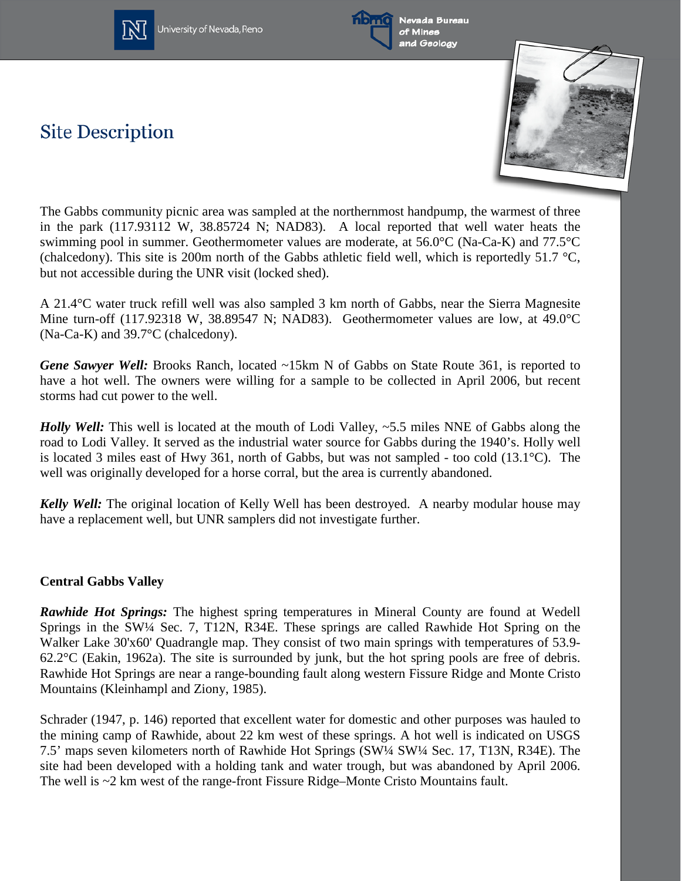



Nevada Bureau of Mines and Geology

# **Site Description**



The Gabbs community picnic area was sampled at the northernmost handpump, the warmest of three in the park (117.93112 W, 38.85724 N; NAD83). A local reported that well water heats the swimming pool in summer. Geothermometer values are moderate, at 56.0°C (Na-Ca-K) and 77.5°C (chalcedony). This site is 200m north of the Gabbs athletic field well, which is reportedly 51.7  $\degree$ C, but not accessible during the UNR visit (locked shed).

A 21.4°C water truck refill well was also sampled 3 km north of Gabbs, near the Sierra Magnesite Mine turn-off (117.92318 W, 38.89547 N; NAD83). Geothermometer values are low, at 49.0°C (Na-Ca-K) and 39.7°C (chalcedony).

*Gene Sawyer Well:* Brooks Ranch, located ~15km N of Gabbs on State Route 361, is reported to have a hot well. The owners were willing for a sample to be collected in April 2006, but recent storms had cut power to the well.

*Holly Well:* This well is located at the mouth of Lodi Valley, ~5.5 miles NNE of Gabbs along the road to Lodi Valley. It served as the industrial water source for Gabbs during the 1940's. Holly well is located 3 miles east of Hwy 361, north of Gabbs, but was not sampled - too cold (13.1°C). The well was originally developed for a horse corral, but the area is currently abandoned.

*Kelly Well:* The original location of Kelly Well has been destroyed. A nearby modular house may have a replacement well, but UNR samplers did not investigate further.

## **Central Gabbs Valley**

*Rawhide Hot Springs:* The highest spring temperatures in Mineral County are found at Wedell Springs in the SW¼ Sec. 7, T12N, R34E. These springs are called Rawhide Hot Spring on the Walker Lake 30'x60' Quadrangle map. They consist of two main springs with temperatures of 53.9- 62.2°C (Eakin, 1962a). The site is surrounded by junk, but the hot spring pools are free of debris. Rawhide Hot Springs are near a range-bounding fault along western Fissure Ridge and Monte Cristo Mountains (Kleinhampl and Ziony, 1985).

Schrader (1947, p. 146) reported that excellent water for domestic and other purposes was hauled to the mining camp of Rawhide, about 22 km west of these springs. A hot well is indicated on USGS 7.5' maps seven kilometers north of Rawhide Hot Springs (SW¼ SW¼ Sec. 17, T13N, R34E). The site had been developed with a holding tank and water trough, but was abandoned by April 2006. The well is  $\sim$ 2 km west of the range-front Fissure Ridge–Monte Cristo Mountains fault.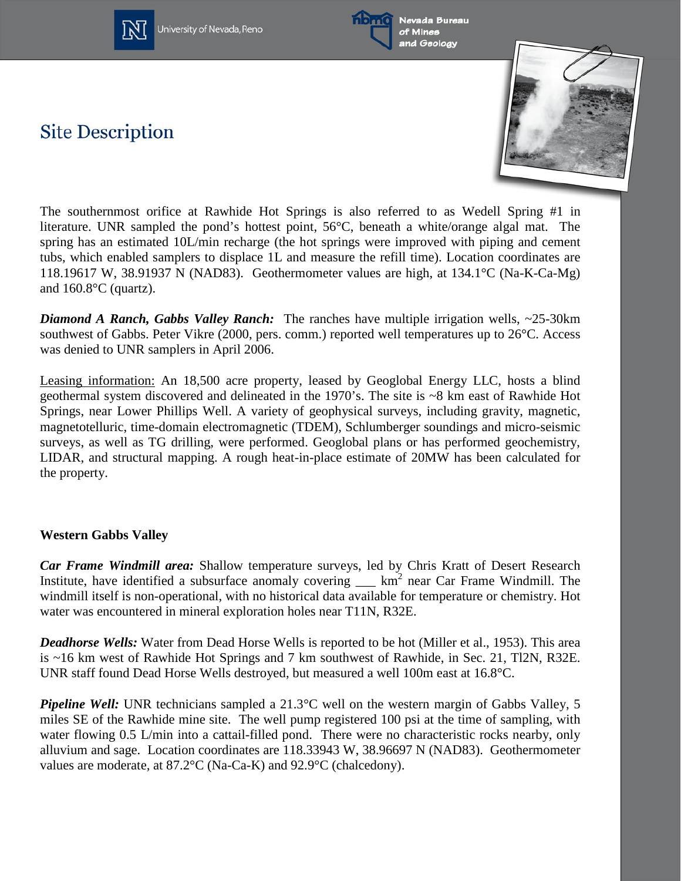



**Site Description** 



The southernmost orifice at Rawhide Hot Springs is also referred to as Wedell Spring #1 in literature. UNR sampled the pond's hottest point, 56°C, beneath a white/orange algal mat. The spring has an estimated 10L/min recharge (the hot springs were improved with piping and cement tubs, which enabled samplers to displace 1L and measure the refill time). Location coordinates are 118.19617 W, 38.91937 N (NAD83). Geothermometer values are high, at 134.1°C (Na-K-Ca-Mg) and 160.8°C (quartz).

*Diamond A Ranch, Gabbs Valley Ranch:* The ranches have multiple irrigation wells, ~25-30km southwest of Gabbs. Peter Vikre (2000, pers. comm.) reported well temperatures up to 26°C. Access was denied to UNR samplers in April 2006.

Leasing information: An 18,500 acre property, leased by Geoglobal Energy LLC, hosts a blind geothermal system discovered and delineated in the 1970's. The site is ~8 km east of Rawhide Hot Springs, near Lower Phillips Well. A variety of geophysical surveys, including gravity, magnetic, magnetotelluric, time-domain electromagnetic (TDEM), Schlumberger soundings and micro-seismic surveys, as well as TG drilling, were performed. Geoglobal plans or has performed geochemistry, LIDAR, and structural mapping. A rough heat-in-place estimate of 20MW has been calculated for the property.

#### **Western Gabbs Valley**

*Car Frame Windmill area:* Shallow temperature surveys, led by Chris Kratt of Desert Research Institute, have identified a subsurface anomaly covering  $\_\_\_\$  km<sup>2</sup> near Car Frame Windmill. The windmill itself is non-operational, with no historical data available for temperature or chemistry. Hot water was encountered in mineral exploration holes near T11N, R32E.

*Deadhorse Wells:* Water from Dead Horse Wells is reported to be hot (Miller et al., 1953). This area is ~16 km west of Rawhide Hot Springs and 7 km southwest of Rawhide, in Sec. 21, Tl2N, R32E. UNR staff found Dead Horse Wells destroyed, but measured a well 100m east at 16.8°C.

*Pipeline Well:* UNR technicians sampled a 21.3<sup>o</sup>C well on the western margin of Gabbs Valley, 5 miles SE of the Rawhide mine site. The well pump registered 100 psi at the time of sampling, with water flowing 0.5 L/min into a cattail-filled pond. There were no characteristic rocks nearby, only alluvium and sage. Location coordinates are 118.33943 W, 38.96697 N (NAD83). Geothermometer values are moderate, at 87.2°C (Na-Ca-K) and 92.9°C (chalcedony).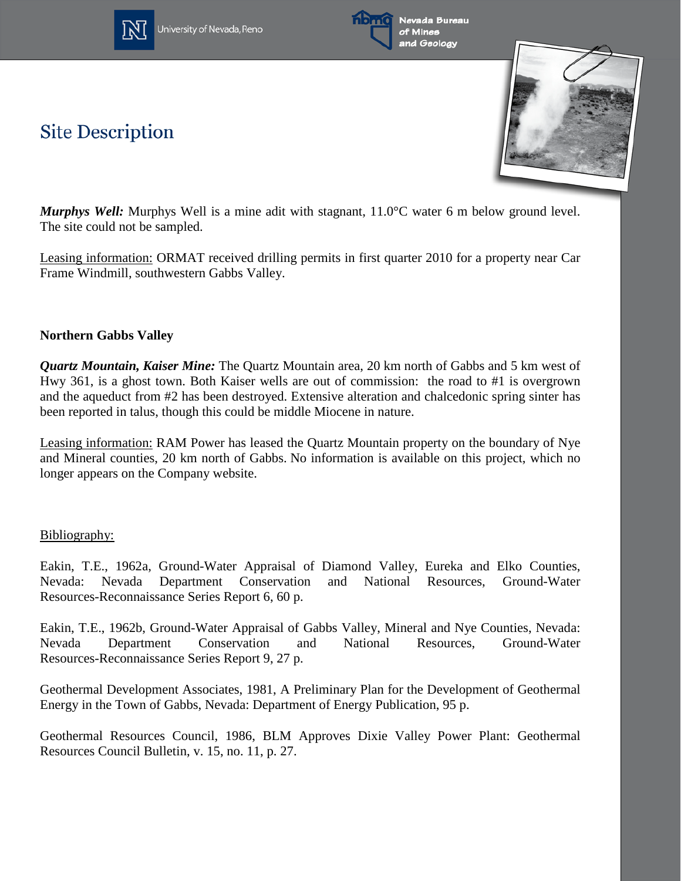





*Murphys Well:* Murphys Well is a mine adit with stagnant, 11.0°C water 6 m below ground level. The site could not be sampled.

Leasing information: ORMAT received drilling permits in first quarter 2010 for a property near Car Frame Windmill, southwestern Gabbs Valley.

### **Northern Gabbs Valley**

**Site Description** 

*Quartz Mountain, Kaiser Mine:* The Quartz Mountain area, 20 km north of Gabbs and 5 km west of Hwy 361, is a ghost town. Both Kaiser wells are out of commission: the road to #1 is overgrown and the aqueduct from #2 has been destroyed. Extensive alteration and chalcedonic spring sinter has been reported in talus, though this could be middle Miocene in nature.

Leasing information: RAM Power has leased the Quartz Mountain property on the boundary of Nye and Mineral counties, 20 km north of Gabbs. No information is available on this project, which no longer appears on the Company website.

#### Bibliography:

Eakin, T.E., 1962a, Ground-Water Appraisal of Diamond Valley, Eureka and Elko Counties, Nevada: Nevada Department Conservation and National Resources, Ground-Water Resources-Reconnaissance Series Report 6, 60 p.

Eakin, T.E., 1962b, Ground-Water Appraisal of Gabbs Valley, Mineral and Nye Counties, Nevada: Nevada Department Conservation and National Resources, Ground-Water Resources-Reconnaissance Series Report 9, 27 p.

Geothermal Development Associates, 1981, A Preliminary Plan for the Development of Geothermal Energy in the Town of Gabbs, Nevada: Department of Energy Publication, 95 p.

Geothermal Resources Council, 1986, BLM Approves Dixie Valley Power Plant: Geothermal Resources Council Bulletin, v. 15, no. 11, p. 27.